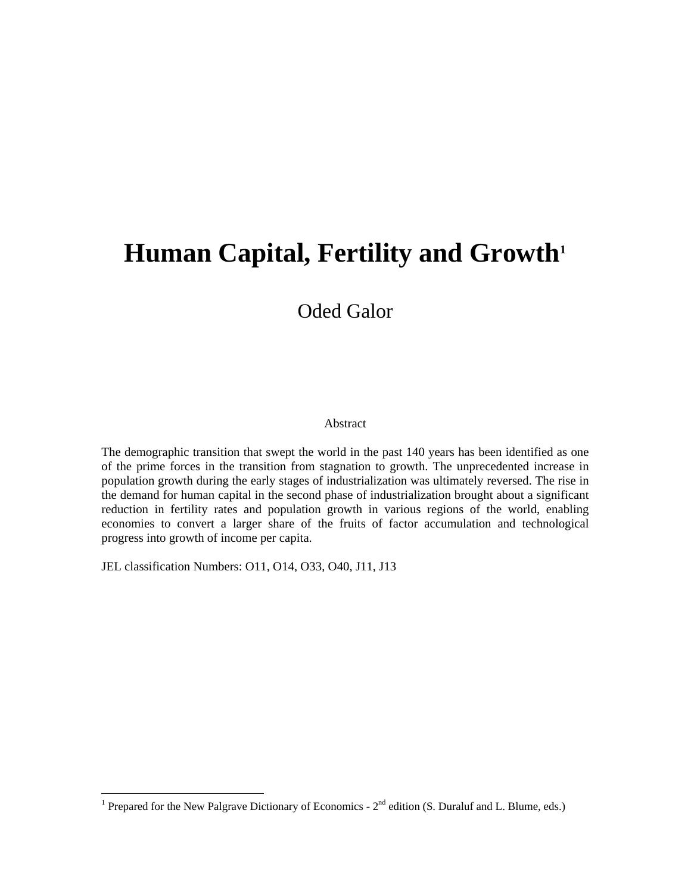# Human Capital, Fertility and Growth<sup>1</sup>

# Oded Galor

#### Abstract

The demographic transition that swept the world in the past 140 years has been identified as one of the prime forces in the transition from stagnation to growth. The unprecedented increase in population growth during the early stages of industrialization was ultimately reversed. The rise in the demand for human capital in the second phase of industrialization brought about a significant reduction in fertility rates and population growth in various regions of the world, enabling economies to convert a larger share of the fruits of factor accumulation and technological progress into growth of income per capita.

JEL classification Numbers: O11, O14, O33, O40, J11, J13

<sup>&</sup>lt;sup>1</sup> Prepared for the New Palgrave Dictionary of Economics -  $2^{nd}$  edition (S. Duraluf and L. Blume, eds.)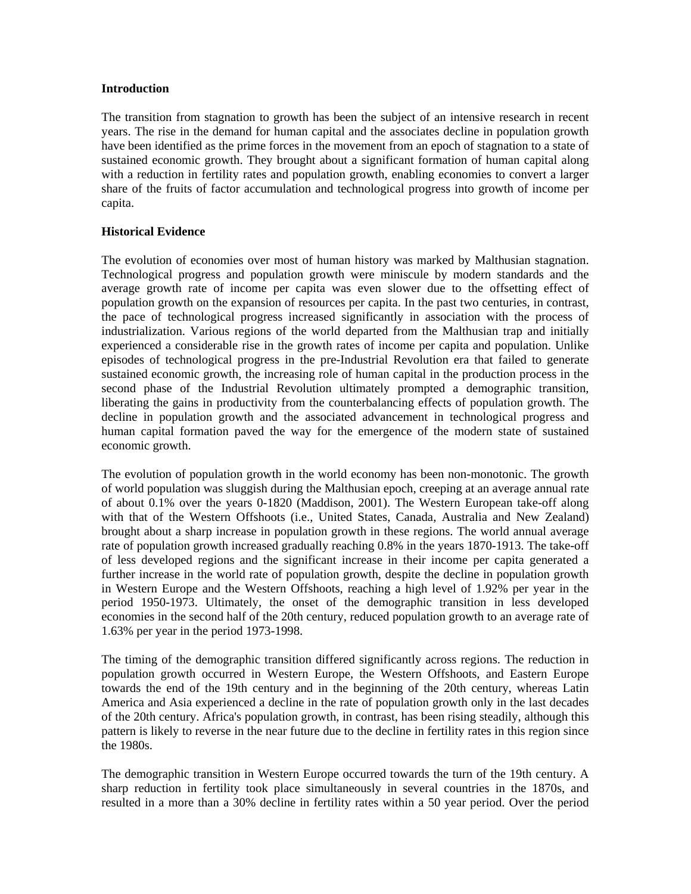#### **Introduction**

The transition from stagnation to growth has been the subject of an intensive research in recent years. The rise in the demand for human capital and the associates decline in population growth have been identified as the prime forces in the movement from an epoch of stagnation to a state of sustained economic growth. They brought about a significant formation of human capital along with a reduction in fertility rates and population growth, enabling economies to convert a larger share of the fruits of factor accumulation and technological progress into growth of income per capita.

# **Historical Evidence**

The evolution of economies over most of human history was marked by Malthusian stagnation. Technological progress and population growth were miniscule by modern standards and the average growth rate of income per capita was even slower due to the offsetting effect of population growth on the expansion of resources per capita. In the past two centuries, in contrast, the pace of technological progress increased significantly in association with the process of industrialization. Various regions of the world departed from the Malthusian trap and initially experienced a considerable rise in the growth rates of income per capita and population. Unlike episodes of technological progress in the pre-Industrial Revolution era that failed to generate sustained economic growth, the increasing role of human capital in the production process in the second phase of the Industrial Revolution ultimately prompted a demographic transition, liberating the gains in productivity from the counterbalancing effects of population growth. The decline in population growth and the associated advancement in technological progress and human capital formation paved the way for the emergence of the modern state of sustained economic growth.

The evolution of population growth in the world economy has been non-monotonic. The growth of world population was sluggish during the Malthusian epoch, creeping at an average annual rate of about 0.1% over the years 0-1820 (Maddison, 2001). The Western European take-off along with that of the Western Offshoots (i.e., United States, Canada, Australia and New Zealand) brought about a sharp increase in population growth in these regions. The world annual average rate of population growth increased gradually reaching 0.8% in the years 1870-1913. The take-off of less developed regions and the significant increase in their income per capita generated a further increase in the world rate of population growth, despite the decline in population growth in Western Europe and the Western Offshoots, reaching a high level of 1.92% per year in the period 1950-1973. Ultimately, the onset of the demographic transition in less developed economies in the second half of the 20th century, reduced population growth to an average rate of 1.63% per year in the period 1973-1998.

The timing of the demographic transition differed significantly across regions. The reduction in population growth occurred in Western Europe, the Western Offshoots, and Eastern Europe towards the end of the 19th century and in the beginning of the 20th century, whereas Latin America and Asia experienced a decline in the rate of population growth only in the last decades of the 20th century. Africa's population growth, in contrast, has been rising steadily, although this pattern is likely to reverse in the near future due to the decline in fertility rates in this region since the 1980s.

The demographic transition in Western Europe occurred towards the turn of the 19th century. A sharp reduction in fertility took place simultaneously in several countries in the 1870s, and resulted in a more than a 30% decline in fertility rates within a 50 year period. Over the period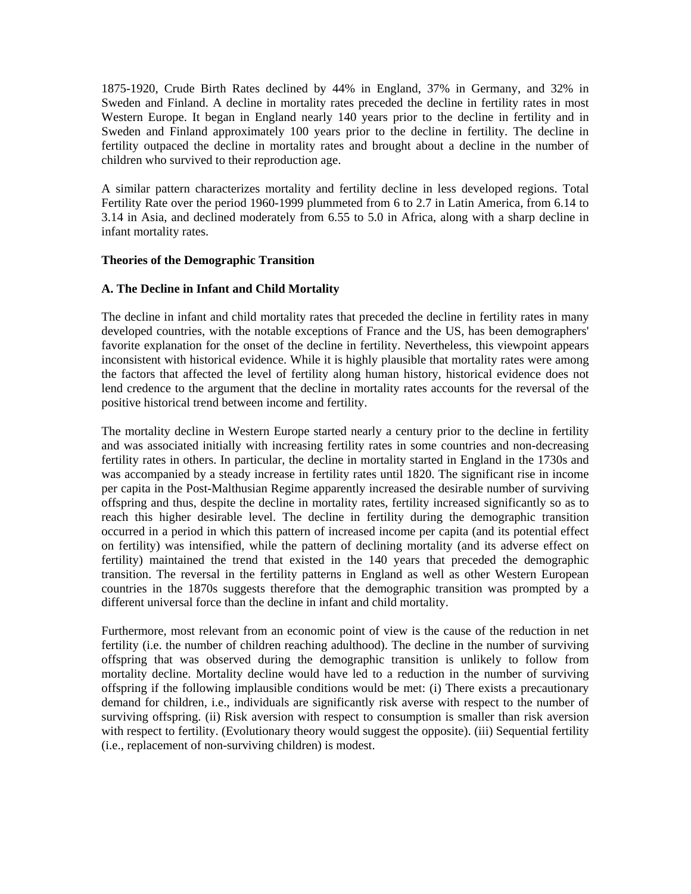1875-1920, Crude Birth Rates declined by 44% in England, 37% in Germany, and 32% in Sweden and Finland. A decline in mortality rates preceded the decline in fertility rates in most Western Europe. It began in England nearly 140 years prior to the decline in fertility and in Sweden and Finland approximately 100 years prior to the decline in fertility. The decline in fertility outpaced the decline in mortality rates and brought about a decline in the number of children who survived to their reproduction age.

A similar pattern characterizes mortality and fertility decline in less developed regions. Total Fertility Rate over the period 1960-1999 plummeted from 6 to 2.7 in Latin America, from 6.14 to 3.14 in Asia, and declined moderately from 6.55 to 5.0 in Africa, along with a sharp decline in infant mortality rates.

# **Theories of the Demographic Transition**

# **A. The Decline in Infant and Child Mortality**

The decline in infant and child mortality rates that preceded the decline in fertility rates in many developed countries, with the notable exceptions of France and the US, has been demographers' favorite explanation for the onset of the decline in fertility. Nevertheless, this viewpoint appears inconsistent with historical evidence. While it is highly plausible that mortality rates were among the factors that affected the level of fertility along human history, historical evidence does not lend credence to the argument that the decline in mortality rates accounts for the reversal of the positive historical trend between income and fertility.

The mortality decline in Western Europe started nearly a century prior to the decline in fertility and was associated initially with increasing fertility rates in some countries and non-decreasing fertility rates in others. In particular, the decline in mortality started in England in the 1730s and was accompanied by a steady increase in fertility rates until 1820. The significant rise in income per capita in the Post-Malthusian Regime apparently increased the desirable number of surviving offspring and thus, despite the decline in mortality rates, fertility increased significantly so as to reach this higher desirable level. The decline in fertility during the demographic transition occurred in a period in which this pattern of increased income per capita (and its potential effect on fertility) was intensified, while the pattern of declining mortality (and its adverse effect on fertility) maintained the trend that existed in the 140 years that preceded the demographic transition. The reversal in the fertility patterns in England as well as other Western European countries in the 1870s suggests therefore that the demographic transition was prompted by a different universal force than the decline in infant and child mortality.

Furthermore, most relevant from an economic point of view is the cause of the reduction in net fertility (i.e. the number of children reaching adulthood). The decline in the number of surviving offspring that was observed during the demographic transition is unlikely to follow from mortality decline. Mortality decline would have led to a reduction in the number of surviving offspring if the following implausible conditions would be met: (i) There exists a precautionary demand for children, i.e., individuals are significantly risk averse with respect to the number of surviving offspring. (ii) Risk aversion with respect to consumption is smaller than risk aversion with respect to fertility. (Evolutionary theory would suggest the opposite). (iii) Sequential fertility (i.e., replacement of non-surviving children) is modest.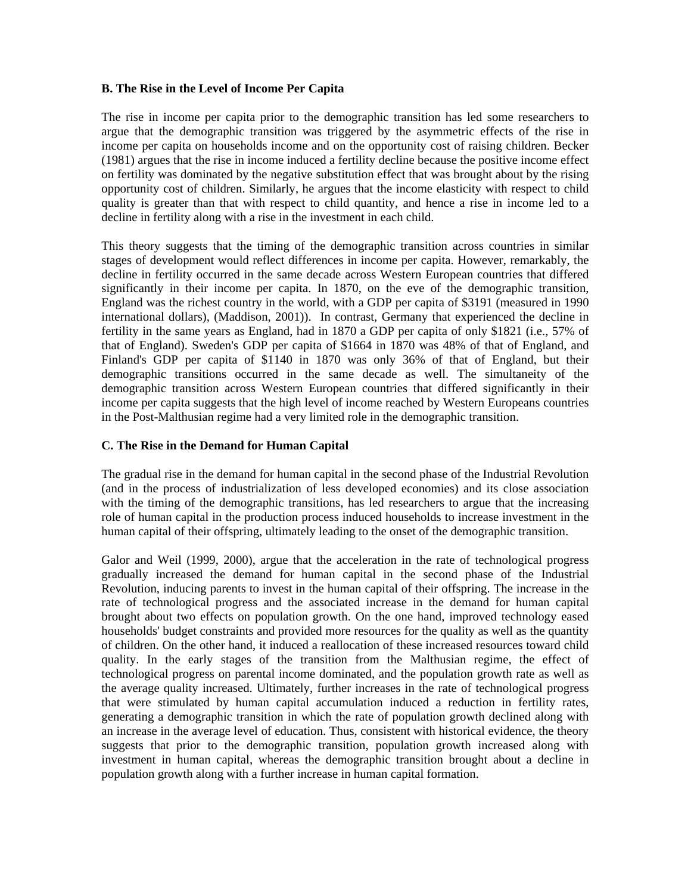### **B. The Rise in the Level of Income Per Capita**

The rise in income per capita prior to the demographic transition has led some researchers to argue that the demographic transition was triggered by the asymmetric effects of the rise in income per capita on households income and on the opportunity cost of raising children. Becker (1981) argues that the rise in income induced a fertility decline because the positive income effect on fertility was dominated by the negative substitution effect that was brought about by the rising opportunity cost of children. Similarly, he argues that the income elasticity with respect to child quality is greater than that with respect to child quantity, and hence a rise in income led to a decline in fertility along with a rise in the investment in each child.

This theory suggests that the timing of the demographic transition across countries in similar stages of development would reflect differences in income per capita. However, remarkably, the decline in fertility occurred in the same decade across Western European countries that differed significantly in their income per capita. In 1870, on the eve of the demographic transition, England was the richest country in the world, with a GDP per capita of \$3191 (measured in 1990 international dollars), (Maddison, 2001)). In contrast, Germany that experienced the decline in fertility in the same years as England, had in 1870 a GDP per capita of only \$1821 (i.e., 57% of that of England). Sweden's GDP per capita of \$1664 in 1870 was 48% of that of England, and Finland's GDP per capita of \$1140 in 1870 was only 36% of that of England, but their demographic transitions occurred in the same decade as well. The simultaneity of the demographic transition across Western European countries that differed significantly in their income per capita suggests that the high level of income reached by Western Europeans countries in the Post-Malthusian regime had a very limited role in the demographic transition.

# **C. The Rise in the Demand for Human Capital**

The gradual rise in the demand for human capital in the second phase of the Industrial Revolution (and in the process of industrialization of less developed economies) and its close association with the timing of the demographic transitions, has led researchers to argue that the increasing role of human capital in the production process induced households to increase investment in the human capital of their offspring, ultimately leading to the onset of the demographic transition.

Galor and Weil (1999, 2000), argue that the acceleration in the rate of technological progress gradually increased the demand for human capital in the second phase of the Industrial Revolution, inducing parents to invest in the human capital of their offspring. The increase in the rate of technological progress and the associated increase in the demand for human capital brought about two effects on population growth. On the one hand, improved technology eased households' budget constraints and provided more resources for the quality as well as the quantity of children. On the other hand, it induced a reallocation of these increased resources toward child quality. In the early stages of the transition from the Malthusian regime, the effect of technological progress on parental income dominated, and the population growth rate as well as the average quality increased. Ultimately, further increases in the rate of technological progress that were stimulated by human capital accumulation induced a reduction in fertility rates, generating a demographic transition in which the rate of population growth declined along with an increase in the average level of education. Thus, consistent with historical evidence, the theory suggests that prior to the demographic transition, population growth increased along with investment in human capital, whereas the demographic transition brought about a decline in population growth along with a further increase in human capital formation.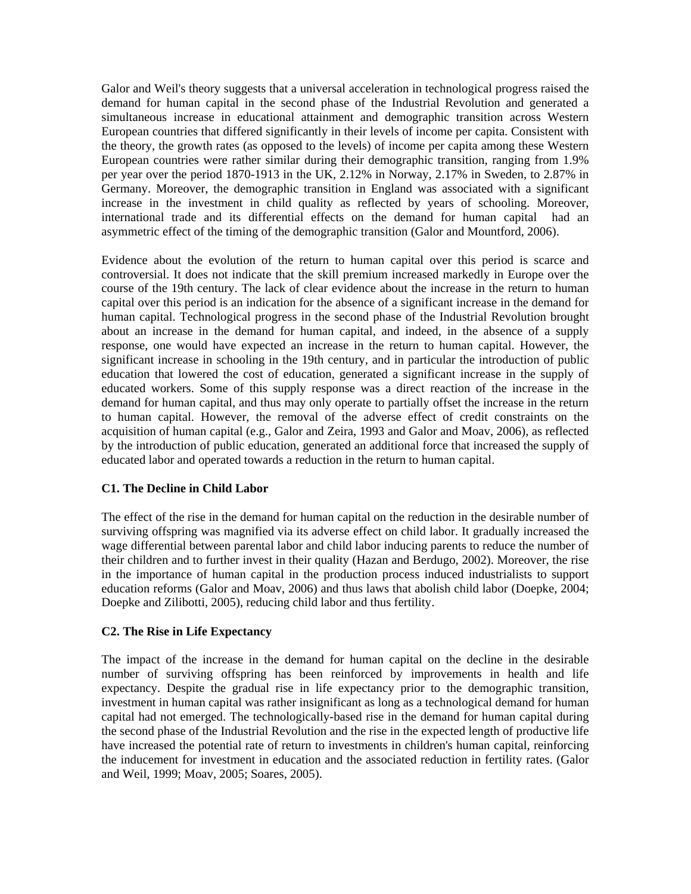Galor and Weil's theory suggests that a universal acceleration in technological progress raised the demand for human capital in the second phase of the Industrial Revolution and generated a simultaneous increase in educational attainment and demographic transition across Western European countries that differed significantly in their levels of income per capita. Consistent with the theory, the growth rates (as opposed to the levels) of income per capita among these Western European countries were rather similar during their demographic transition, ranging from 1.9% per year over the period 1870-1913 in the UK, 2.12% in Norway, 2.17% in Sweden, to 2.87% in Germany. Moreover, the demographic transition in England was associated with a significant increase in the investment in child quality as reflected by years of schooling. Moreover, international trade and its differential effects on the demand for human capital had an asymmetric effect of the timing of the demographic transition (Galor and Mountford, 2006).

Evidence about the evolution of the return to human capital over this period is scarce and controversial. It does not indicate that the skill premium increased markedly in Europe over the course of the 19th century. The lack of clear evidence about the increase in the return to human capital over this period is an indication for the absence of a significant increase in the demand for human capital. Technological progress in the second phase of the Industrial Revolution brought about an increase in the demand for human capital, and indeed, in the absence of a supply response, one would have expected an increase in the return to human capital. However, the significant increase in schooling in the 19th century, and in particular the introduction of public education that lowered the cost of education, generated a significant increase in the supply of educated workers. Some of this supply response was a direct reaction of the increase in the demand for human capital, and thus may only operate to partially offset the increase in the return to human capital. However, the removal of the adverse effect of credit constraints on the acquisition of human capital (e.g., Galor and Zeira, 1993 and Galor and Moav, 2006), as reflected by the introduction of public education, generated an additional force that increased the supply of educated labor and operated towards a reduction in the return to human capital.

# **C1. The Decline in Child Labor**

The effect of the rise in the demand for human capital on the reduction in the desirable number of surviving offspring was magnified via its adverse effect on child labor. It gradually increased the wage differential between parental labor and child labor inducing parents to reduce the number of their children and to further invest in their quality (Hazan and Berdugo, 2002). Moreover, the rise in the importance of human capital in the production process induced industrialists to support education reforms (Galor and Moav, 2006) and thus laws that abolish child labor (Doepke, 2004; Doepke and Zilibotti, 2005), reducing child labor and thus fertility.

# **C2. The Rise in Life Expectancy**

The impact of the increase in the demand for human capital on the decline in the desirable number of surviving offspring has been reinforced by improvements in health and life expectancy. Despite the gradual rise in life expectancy prior to the demographic transition, investment in human capital was rather insignificant as long as a technological demand for human capital had not emerged. The technologically-based rise in the demand for human capital during the second phase of the Industrial Revolution and the rise in the expected length of productive life have increased the potential rate of return to investments in children's human capital, reinforcing the inducement for investment in education and the associated reduction in fertility rates. (Galor and Weil, 1999; Moav, 2005; Soares, 2005).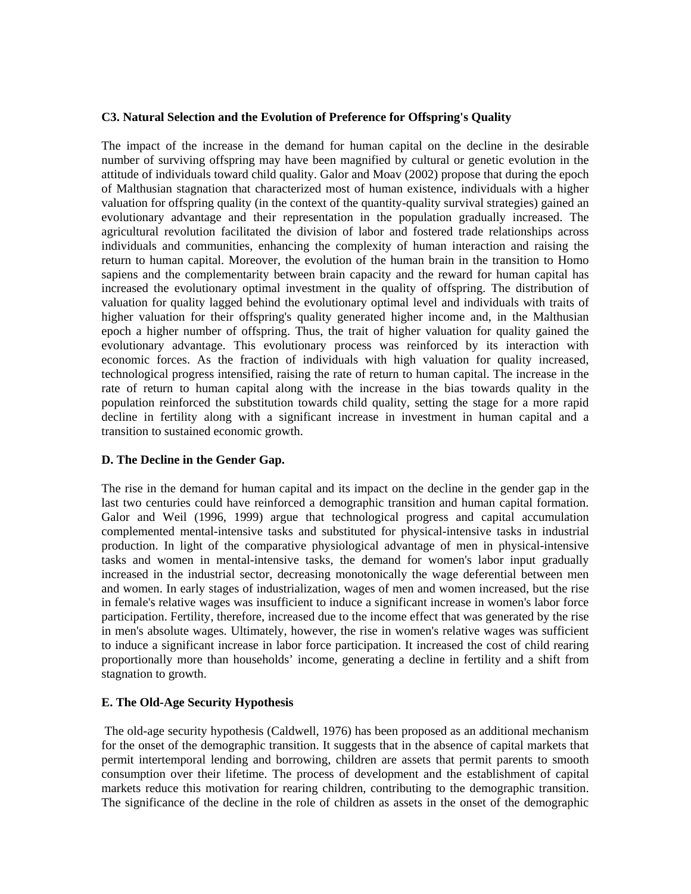# **C3. Natural Selection and the Evolution of Preference for Offspring's Quality**

The impact of the increase in the demand for human capital on the decline in the desirable number of surviving offspring may have been magnified by cultural or genetic evolution in the attitude of individuals toward child quality. Galor and Moav (2002) propose that during the epoch of Malthusian stagnation that characterized most of human existence, individuals with a higher valuation for offspring quality (in the context of the quantity-quality survival strategies) gained an evolutionary advantage and their representation in the population gradually increased. The agricultural revolution facilitated the division of labor and fostered trade relationships across individuals and communities, enhancing the complexity of human interaction and raising the return to human capital. Moreover, the evolution of the human brain in the transition to Homo sapiens and the complementarity between brain capacity and the reward for human capital has increased the evolutionary optimal investment in the quality of offspring. The distribution of valuation for quality lagged behind the evolutionary optimal level and individuals with traits of higher valuation for their offspring's quality generated higher income and, in the Malthusian epoch a higher number of offspring. Thus, the trait of higher valuation for quality gained the evolutionary advantage. This evolutionary process was reinforced by its interaction with economic forces. As the fraction of individuals with high valuation for quality increased, technological progress intensified, raising the rate of return to human capital. The increase in the rate of return to human capital along with the increase in the bias towards quality in the population reinforced the substitution towards child quality, setting the stage for a more rapid decline in fertility along with a significant increase in investment in human capital and a transition to sustained economic growth.

# **D. The Decline in the Gender Gap.**

The rise in the demand for human capital and its impact on the decline in the gender gap in the last two centuries could have reinforced a demographic transition and human capital formation. Galor and Weil (1996, 1999) argue that technological progress and capital accumulation complemented mental-intensive tasks and substituted for physical-intensive tasks in industrial production. In light of the comparative physiological advantage of men in physical-intensive tasks and women in mental-intensive tasks, the demand for women's labor input gradually increased in the industrial sector, decreasing monotonically the wage deferential between men and women. In early stages of industrialization, wages of men and women increased, but the rise in female's relative wages was insufficient to induce a significant increase in women's labor force participation. Fertility, therefore, increased due to the income effect that was generated by the rise in men's absolute wages. Ultimately, however, the rise in women's relative wages was sufficient to induce a significant increase in labor force participation. It increased the cost of child rearing proportionally more than households' income, generating a decline in fertility and a shift from stagnation to growth.

#### **E. The Old-Age Security Hypothesis**

 The old-age security hypothesis (Caldwell, 1976) has been proposed as an additional mechanism for the onset of the demographic transition. It suggests that in the absence of capital markets that permit intertemporal lending and borrowing, children are assets that permit parents to smooth consumption over their lifetime. The process of development and the establishment of capital markets reduce this motivation for rearing children, contributing to the demographic transition. The significance of the decline in the role of children as assets in the onset of the demographic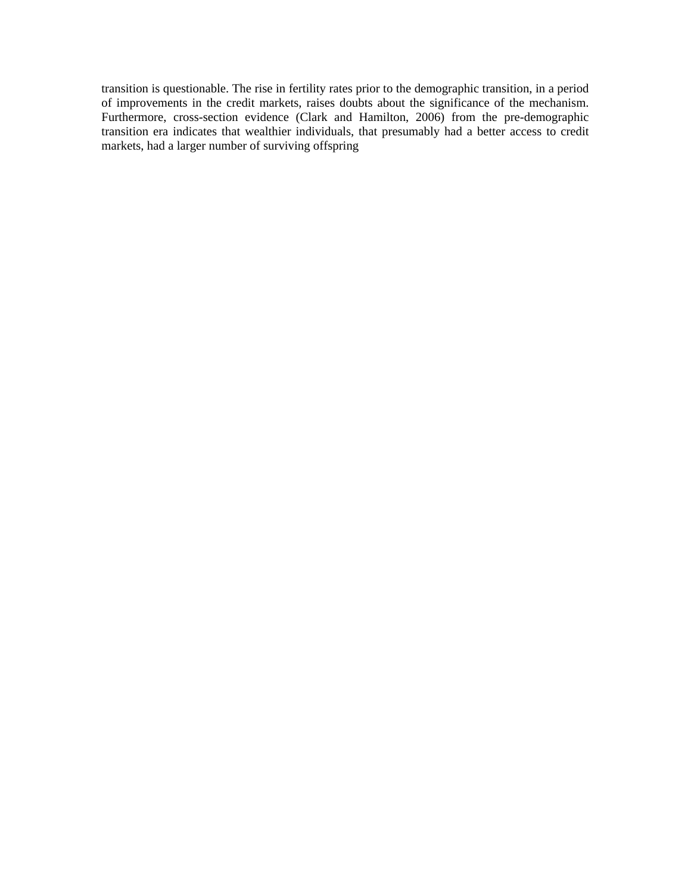transition is questionable. The rise in fertility rates prior to the demographic transition, in a period of improvements in the credit markets, raises doubts about the significance of the mechanism. Furthermore, cross-section evidence (Clark and Hamilton, 2006) from the pre-demographic transition era indicates that wealthier individuals, that presumably had a better access to credit markets, had a larger number of surviving offspring